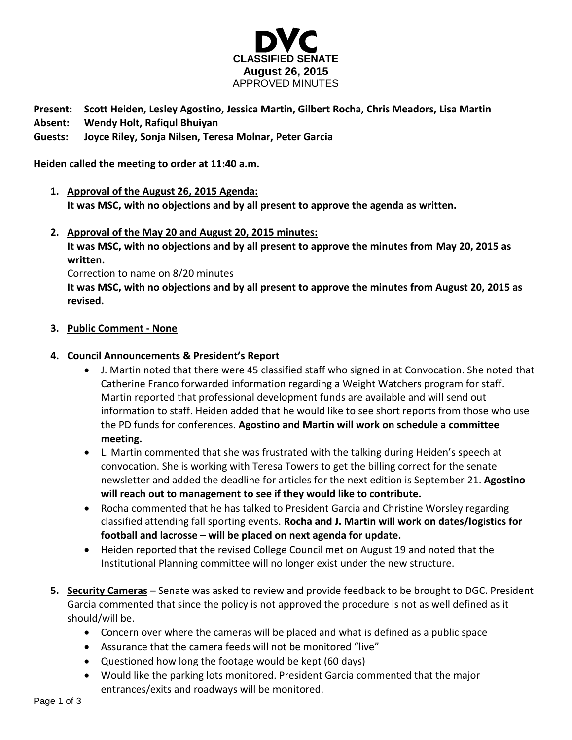

**Present: Scott Heiden, Lesley Agostino, Jessica Martin, Gilbert Rocha, Chris Meadors, Lisa Martin Absent: Wendy Holt, Rafiqul Bhuiyan**

# **Guests: Joyce Riley, Sonja Nilsen, Teresa Molnar, Peter Garcia**

**Heiden called the meeting to order at 11:40 a.m.**

- **1. Approval of the August 26, 2015 Agenda: It was MSC, with no objections and by all present to approve the agenda as written.**
- **2. Approval of the May 20 and August 20, 2015 minutes:**

**It was MSC, with no objections and by all present to approve the minutes from May 20, 2015 as written.** 

Correction to name on 8/20 minutes

**It was MSC, with no objections and by all present to approve the minutes from August 20, 2015 as revised.**

### **3. Public Comment - None**

### **4. Council Announcements & President's Report**

- J. Martin noted that there were 45 classified staff who signed in at Convocation. She noted that Catherine Franco forwarded information regarding a Weight Watchers program for staff. Martin reported that professional development funds are available and will send out information to staff. Heiden added that he would like to see short reports from those who use the PD funds for conferences. **Agostino and Martin will work on schedule a committee meeting.**
- L. Martin commented that she was frustrated with the talking during Heiden's speech at convocation. She is working with Teresa Towers to get the billing correct for the senate newsletter and added the deadline for articles for the next edition is September 21. **Agostino will reach out to management to see if they would like to contribute.**
- Rocha commented that he has talked to President Garcia and Christine Worsley regarding classified attending fall sporting events. **Rocha and J. Martin will work on dates/logistics for football and lacrosse – will be placed on next agenda for update.**
- Heiden reported that the revised College Council met on August 19 and noted that the Institutional Planning committee will no longer exist under the new structure.
- **5. Security Cameras** Senate was asked to review and provide feedback to be brought to DGC. President Garcia commented that since the policy is not approved the procedure is not as well defined as it should/will be.
	- Concern over where the cameras will be placed and what is defined as a public space
	- Assurance that the camera feeds will not be monitored "live"
	- Questioned how long the footage would be kept (60 days)
	- Would like the parking lots monitored. President Garcia commented that the major entrances/exits and roadways will be monitored.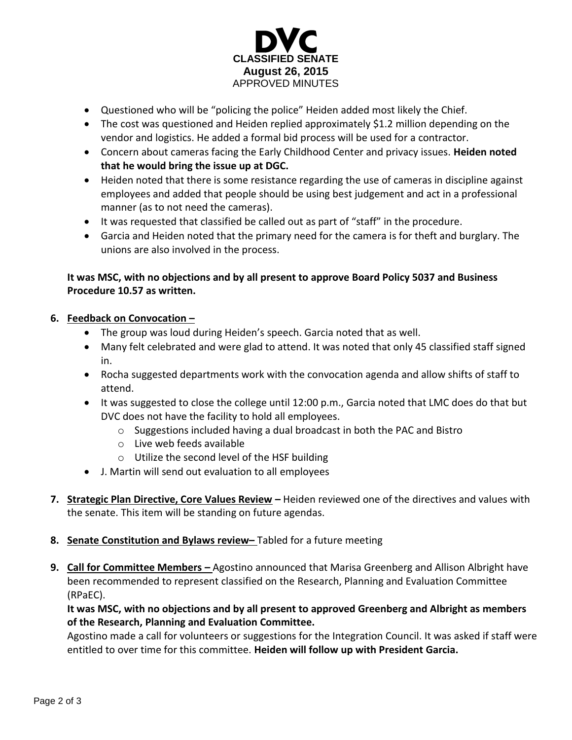

- Questioned who will be "policing the police" Heiden added most likely the Chief.
- The cost was questioned and Heiden replied approximately \$1.2 million depending on the vendor and logistics. He added a formal bid process will be used for a contractor.
- Concern about cameras facing the Early Childhood Center and privacy issues. **Heiden noted that he would bring the issue up at DGC.**
- Heiden noted that there is some resistance regarding the use of cameras in discipline against employees and added that people should be using best judgement and act in a professional manner (as to not need the cameras).
- It was requested that classified be called out as part of "staff" in the procedure.
- Garcia and Heiden noted that the primary need for the camera is for theft and burglary. The unions are also involved in the process.

# **It was MSC, with no objections and by all present to approve Board Policy 5037 and Business Procedure 10.57 as written.**

# **6. Feedback on Convocation –**

- The group was loud during Heiden's speech. Garcia noted that as well.
- Many felt celebrated and were glad to attend. It was noted that only 45 classified staff signed in.
- Rocha suggested departments work with the convocation agenda and allow shifts of staff to attend.
- It was suggested to close the college until 12:00 p.m., Garcia noted that LMC does do that but DVC does not have the facility to hold all employees.
	- o Suggestions included having a dual broadcast in both the PAC and Bistro
	- o Live web feeds available
	- o Utilize the second level of the HSF building
- J. Martin will send out evaluation to all employees
- **7. Strategic Plan Directive, Core Values Review –** Heiden reviewed one of the directives and values with the senate. This item will be standing on future agendas.
- **8. Senate Constitution and Bylaws review–** Tabled for a future meeting
- **9. Call for Committee Members –** Agostino announced that Marisa Greenberg and Allison Albright have been recommended to represent classified on the Research, Planning and Evaluation Committee (RPaEC).

**It was MSC, with no objections and by all present to approved Greenberg and Albright as members of the Research, Planning and Evaluation Committee.**

Agostino made a call for volunteers or suggestions for the Integration Council. It was asked if staff were entitled to over time for this committee. **Heiden will follow up with President Garcia.**